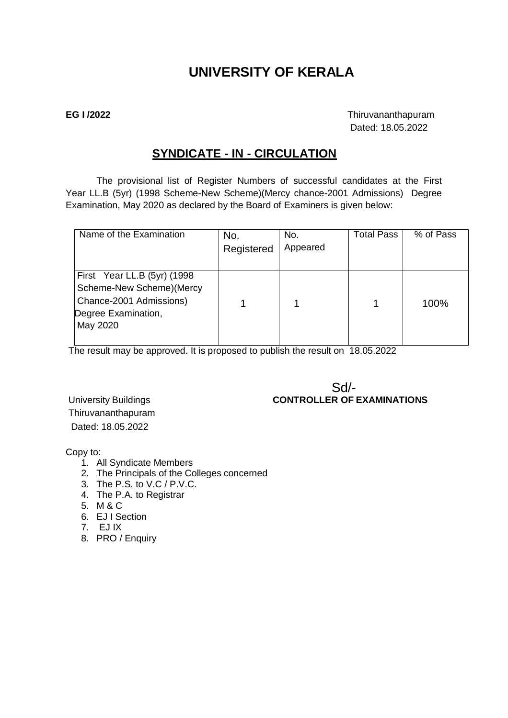# **UNIVERSITY OF KERALA**

**EG I /2022** Thiruvananthapuram Dated: 18.05.2022

### **SYNDICATE - IN - CIRCULATION**

The provisional list of Register Numbers of successful candidates at the First Year LL.B (5yr) (1998 Scheme-New Scheme)(Mercy chance-2001 Admissions) Degree Examination, May 2020 as declared by the Board of Examiners is given below:

| Name of the Examination                                                                                                 | No.<br>Registered | No.<br>Appeared | <b>Total Pass</b> | % of Pass |
|-------------------------------------------------------------------------------------------------------------------------|-------------------|-----------------|-------------------|-----------|
| First Year LL.B (5yr) (1998)<br>Scheme-New Scheme) (Mercy<br>Chance-2001 Admissions)<br>Degree Examination,<br>May 2020 |                   |                 |                   | 100%      |

The result may be approved. It is proposed to publish the result on 18.05.2022

#### Sd/- University Buildings **CONTROLLER OF EXAMINATIONS**

Thiruvananthapuram Dated: 18.05.2022

Copy to:

- 1. All Syndicate Members
- 2. The Principals of the Colleges concerned
- 3. The P.S. to V.C / P.V.C.
- 4. The P.A. to Registrar
- 5. M & C
- 6. EJ I Section
- 7. EJ IX
- 8. PRO / Enquiry